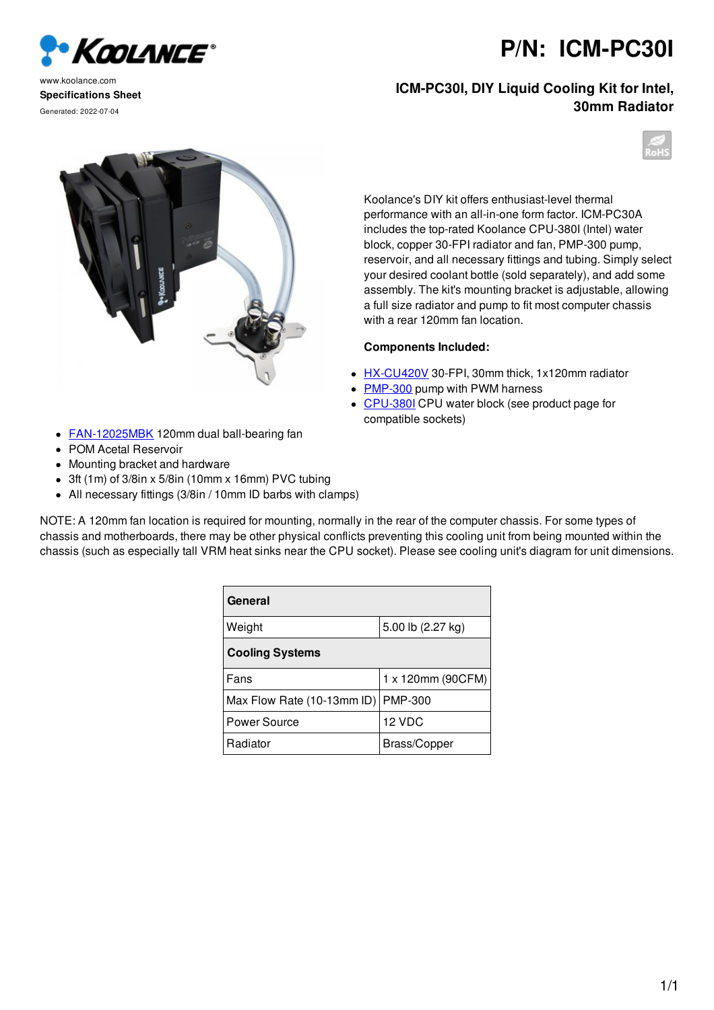

www.koolance.com **Specifications Sheet** Generated: 2022-07-04

**P/N: ICM-PC30I**

**ICM-PC30I, DIY Liquid Cooling Kit for Intel, 30mm Radiator**



Koolance's DIY kit offers enthusiast-level thermal performance with an all-in-one form factor. ICM-PC30A includes the top-rated Koolance CPU-380I (Intel) water block, copper 30-FPI radiator and fan, PMP-300 pump, reservoir, and all necessary fittings and tubing. Simply select your desired coolant bottle (sold separately), and add some assembly. The kit's mounting bracket is adjustable, allowing a full size radiator and pump to fit most computer chassis with a rear 120mm fan location.

## **Components Included:**

- HX-CU420V 30-FPI, 30mm thick, 1x120mm radiator
- PMP-300 pump with PWM harness
- CPU-380I CPU water block (see product page for compatible sockets)
- **FAN-12025MBK** 120mm dual ball-bearing fan
- POM Acetal Reservoir
- Mounting bracket and hardware
- 3ft (1m) of 3/8in x 5/8in (10mm x 16mm) PVC tubing
- All necessary fittings (3/8in / 10mm ID barbs with clamps)

NOTE: A 120mm fan location is required for mounting, normally in the rear of the computer chassis. For some types of chassis and motherboards, there may be other physical conflicts preventing this cooling unit from being mounted within the chassis (such as especially tall VRM heat sinks near the CPU socket). Please see cooling unit's diagram for unit dimensions.

| General                    |                   |
|----------------------------|-------------------|
| Weight                     | 5.00 lb (2.27 kg) |
| <b>Cooling Systems</b>     |                   |
| Fans                       | 1 x 120mm (90CFM) |
| Max Flow Rate (10-13mm ID) | <b>PMP-300</b>    |
| Power Source               | 12 VDC            |
| Radiator                   | Brass/Copper      |